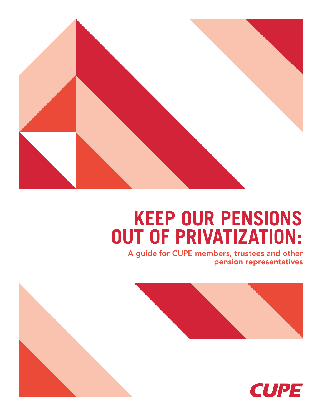

# **KEEP OUR PENSIONS OUT OF PRIVATIZATION:**

A guide for CUPE members, trustees and other pension representatives



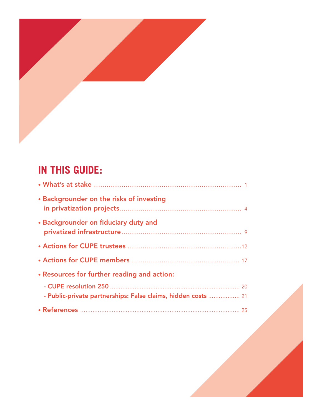

# **IN THIS GUIDE:**

| • Backgrounder on the risks of investing                      |
|---------------------------------------------------------------|
| • Backgrounder on fiduciary duty and                          |
|                                                               |
|                                                               |
| • Resources for further reading and action:                   |
|                                                               |
| - Public-private partnerships: False claims, hidden costs  21 |
|                                                               |

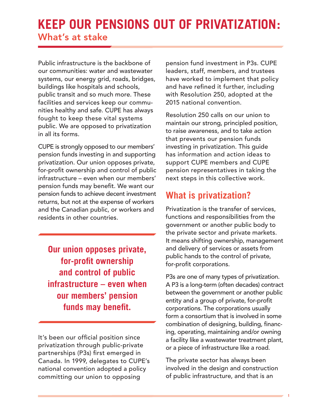# **KEEP OUR PENSIONS OUT OF PRIVATIZATION:** What's at stake

Public infrastructure is the backbone of our communities: water and wastewater systems, our energy grid, roads, bridges, buildings like hospitals and schools, public transit and so much more. These facilities and services keep our communities healthy and safe. CUPE has always fought to keep these vital systems public. We are opposed to privatization in all its forms.

CUPE is strongly opposed to our members' pension funds investing in and supporting privatization. Our union opposes private, for-profit ownership and control of public infrastructure – even when our members' pension funds may benefit. We want our pension funds to achieve decent investment returns, but not at the expense of workers and the Canadian public, or workers and residents in other countries.

**Our union opposes private, for-profit ownership and control of public infrastructure – even when our members' pension funds may benefit.**

It's been our official position since privatization through public-private partnerships (P3s) first emerged in Canada. In 1999, delegates to CUPE's national convention adopted a policy committing our union to opposing

pension fund investment in P3s. CUPE leaders, staff, members, and trustees have worked to implement that policy and have refined it further, including with Resolution 250, adopted at the 2015 national convention.

Resolution 250 calls on our union to maintain our strong, principled position, to raise awareness, and to take action that prevents our pension funds investing in privatization. This guide has information and action ideas to support CUPE members and CUPE pension representatives in taking the next steps in this collective work.

### **What is privatization?**

Privatization is the transfer of services, functions and responsibilities from the government or another public body to the private sector and private markets. It means shifting ownership, management and delivery of services or assets from public hands to the control of private, for-profit corporations.

P3s are one of many types of privatization. A P3 is a long-term (often decades) contract between the government or another public entity and a group of private, for-profit corporations. The corporations usually form a consortium that is involved in some combination of designing, building, financing, operating, maintaining and/or owning a facility like a wastewater treatment plant, or a piece of infrastructure like a road.

The private sector has always been involved in the design and construction of public infrastructure, and that is an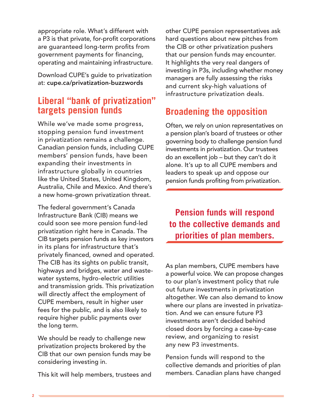appropriate role. What's different with a P3 is that private, for-profit corporations are guaranteed long-term profits from government payments for financing, operating and maintaining infrastructure.

Download CUPE's guide to privatization at: cupe.ca/privatization-buzzwords

### **Liberal "bank of privatization" targets pension funds**

While we've made some progress, stopping pension fund investment in privatization remains a challenge. Canadian pension funds, including CUPE members' pension funds, have been expanding their investments in infrastructure globally in countries like the United States, United Kingdom, Australia, Chile and Mexico. And there's a new home-grown privatization threat.

The federal government's Canada Infrastructure Bank (CIB) means we could soon see more pension fund-led privatization right here in Canada. The CIB targets pension funds as key investors in its plans for infrastructure that's privately financed, owned and operated. The CIB has its sights on public transit, highways and bridges, water and wastewater systems, hydro-electric utilities and transmission grids. This privatization will directly affect the employment of CUPE members, result in higher user fees for the public, and is also likely to require higher public payments over the long term.

We should be ready to challenge new privatization projects brokered by the CIB that our own pension funds may be considering investing in.

This kit will help members, trustees and

other CUPE pension representatives ask hard questions about new pitches from the CIB or other privatization pushers that our pension funds may encounter. It highlights the very real dangers of investing in P3s, including whether money managers are fully assessing the risks and current sky-high valuations of infrastructure privatization deals.

## **Broadening the opposition**

Often, we rely on union representatives on a pension plan's board of trustees or other governing body to challenge pension fund investments in privatization. Our trustees do an excellent job – but they can't do it alone. It's up to all CUPE members and leaders to speak up and oppose our pension funds profiting from privatization.

**Pension funds will respond to the collective demands and priorities of plan members.**

As plan members, CUPE members have a powerful voice. We can propose changes to our plan's investment policy that rule out future investments in privatization altogether. We can also demand to know where our plans are invested in privatization. And we can ensure future P3 investments aren't decided behind closed doors by forcing a case-by-case review, and organizing to resist any new P3 investments.

Pension funds will respond to the collective demands and priorities of plan members. Canadian plans have changed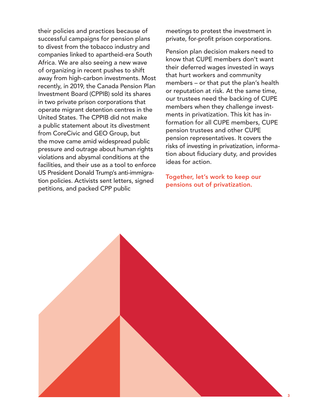their policies and practices because of successful campaigns for pension plans to divest from the tobacco industry and companies linked to apartheid-era South Africa. We are also seeing a new wave of organizing in recent pushes to shift away from high-carbon investments. Most recently, in 2019, the Canada Pension Plan Investment Board (CPPIB) sold its shares in two private prison corporations that operate migrant detention centres in the United States. The CPPIB did not make a public statement about its divestment from CoreCivic and GEO Group, but the move came amid widespread public pressure and outrage about human rights violations and abysmal conditions at the facilities, and their use as a tool to enforce US President Donald Trump's anti-immigration policies. Activists sent letters, signed petitions, and packed CPP public

meetings to protest the investment in private, for-profit prison corporations.

Pension plan decision makers need to know that CUPE members don't want their deferred wages invested in ways that hurt workers and community members – or that put the plan's health or reputation at risk. At the same time, our trustees need the backing of CUPE members when they challenge investments in privatization. This kit has information for all CUPE members, CUPE pension trustees and other CUPE pension representatives. It covers the risks of investing in privatization, information about fiduciary duty, and provides ideas for action.

Together, let's work to keep our pensions out of privatization.

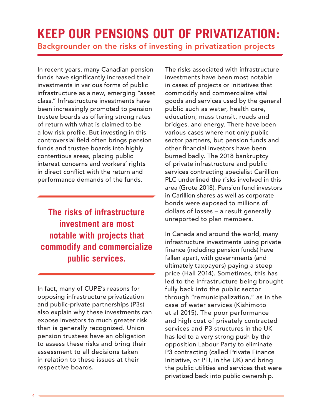# **KEEP OUR PENSIONS OUT OF PRIVATIZATION:** Backgrounder on the risks of investing in privatization projects

In recent years, many Canadian pension funds have significantly increased their investments in various forms of public infrastructure as a new, emerging "asset class." Infrastructure investments have been increasingly promoted to pension trustee boards as offering strong rates of return with what is claimed to be a low risk profile. But investing in this controversial field often brings pension funds and trustee boards into highly contentious areas, placing public interest concerns and workers' rights in direct conflict with the return and performance demands of the funds.

**The risks of infrastructure investment are most notable with projects that commodify and commercialize public services.**

In fact, many of CUPE's reasons for opposing infrastructure privatization and public-private partnerships (P3s) also explain why these investments can expose investors to much greater risk than is generally recognized. Union pension trustees have an obligation to assess these risks and bring their assessment to all decisions taken in relation to these issues at their respective boards.

The risks associated with infrastructure investments have been most notable in cases of projects or initiatives that commodify and commercialize vital goods and services used by the general public such as water, health care, education, mass transit, roads and bridges, and energy. There have been various cases where not only public sector partners, but pension funds and other financial investors have been burned badly. The 2018 bankruptcy of private infrastructure and public services contracting specialist Carillion PLC underlined the risks involved in this area (Grote 2018). Pension fund investors in Carillion shares as well as corporate bonds were exposed to millions of dollars of losses – a result generally unreported to plan members.

In Canada and around the world, many infrastructure investments using private finance (including pension funds) have fallen apart, with governments (and ultimately taxpayers) paying a steep price (Hall 2014). Sometimes, this has led to the infrastructure being brought fully back into the public sector through "remunicipalization," as in the case of water services (Kishimoto et al 2015). The poor performance and high cost of privately contracted services and P3 structures in the UK has led to a very strong push by the opposition Labour Party to eliminate P3 contracting (called Private Finance Initiative, or PFI, in the UK) and bring the public utilities and services that were privatized back into public ownership.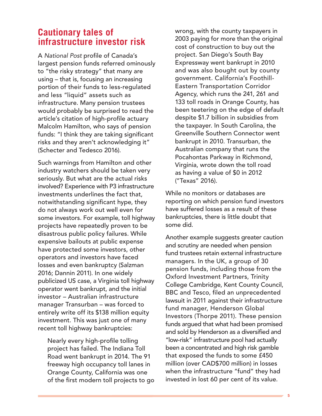### **Cautionary tales of infrastructure investor risk**

A *National Post* profile of Canada's largest pension funds referred ominously to "the risky strategy" that many are using – that is, focusing an increasing portion of their funds to less-regulated and less "liquid" assets such as infrastructure. Many pension trustees would probably be surprised to read the article's citation of high-profile actuary Malcolm Hamilton, who says of pension funds: "I think they are taking significant risks and they aren't acknowledging it" (Schecter and Tedesco 2016).

Such warnings from Hamilton and other industry watchers should be taken very seriously. But what are the actual risks involved? Experience with P3 infrastructure investments underlines the fact that, notwithstanding significant hype, they do not always work out well even for some investors. For example, toll highway projects have repeatedly proven to be disastrous public policy failures. While expensive bailouts at public expense have protected some investors, other operators and investors have faced losses and even bankruptcy (Salzman 2016; Dannin 2011). In one widely publicized US case, a Virginia toll highway operator went bankrupt, and the initial investor – Australian infrastructure manager Transurban – was forced to entirely write off its \$138 million equity investment. This was just one of many recent toll highway bankruptcies:

Nearly every high-profile tolling project has failed. The Indiana Toll Road went bankrupt in 2014. The 91 freeway high occupancy toll lanes in Orange County, California was one of the first modern toll projects to go wrong, with the county taxpayers in 2003 paying for more than the original cost of construction to buy out the project. San Diego's South Bay Expressway went bankrupt in 2010 and was also bought out by county government. California's Foothill-Eastern Transportation Corridor Agency, which runs the 241, 261 and 133 toll roads in Orange County, has been teetering on the edge of default despite \$1.7 billion in subsidies from the taxpayer. In South Carolina, the Greenville Southern Connector went bankrupt in 2010. Transurban, the Australian company that runs the Pocahontas Parkway in Richmond, Virginia, wrote down the toll road as having a value of \$0 in 2012 ("Texas" 2016).

While no monitors or databases are reporting on which pension fund investors have suffered losses as a result of these bankruptcies, there is little doubt that some did.

Another example suggests greater caution and scrutiny are needed when pension fund trustees retain external infrastructure managers. In the UK, a group of 30 pension funds, including those from the Oxford Investment Partners, Trinity College Cambridge, Kent County Council, BBC and Tesco, filed an unprecedented lawsuit in 2011 against their infrastructure fund manager, Henderson Global Investors (Thorpe 2011). These pension funds argued that what had been promised and sold by Henderson as a diversified and "low-risk" infrastructure pool had actually been a concentrated and high risk gamble that exposed the funds to some £450 million (over CAD\$700 million) in losses when the infrastructure "fund" they had invested in lost 60 per cent of its value.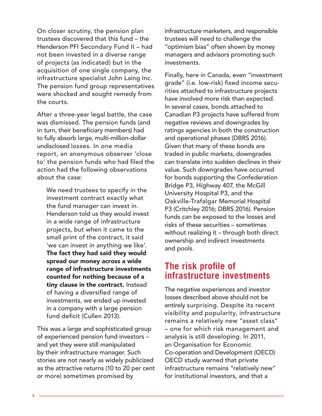On closer scrutiny, the pension plan trustees discovered that this fund – the Henderson PFI Secondary Fund II – had not been invested in a diverse range of projects (as indicated) but in the acquisition of one single company, the infrastructure specialist John Laing Inc. The pension fund group representatives were shocked and sought remedy from the courts.

After a three-year legal battle, the case was dismissed. The pension funds (and in turn, their beneficiary members) had to fully absorb large, multi-million-dollar undisclosed losses. In one media report, an anonymous observer 'close to' the pension funds who had filed the action had the following observations about the case:

We need trustees to specify in the investment contract exactly what the fund manager can invest in. Henderson told us they would invest in a wide range of infrastructure projects, but when it came to the small print of the contract, it said 'we can invest in anything we like'. The fact they had said they would spread our money across a wide range of infrastructure investments counted for nothing because of a tiny clause in the contract. Instead of having a diversified range of investments, we ended up invested in a company with a large pension fund deficit (Cullen 2013).

This was a large and sophisticated group of experienced pension fund investors – and yet they were still manipulated by their infrastructure manager. Such stories are not nearly as widely publicized as the attractive returns (10 to 20 per cent or more) sometimes promised by

infrastructure marketers, and responsible trustees will need to challenge the "optimism bias" often shown by money managers and advisors promoting such investments.

Finally, here in Canada, even "investment grade" (i.e. low-risk) fixed income securities attached to infrastructure projects have involved more risk than expected. In several cases, bonds attached to Canadian P3 projects have suffered from negative reviews and downgrades by ratings agencies in both the construction and operational phases (DBRS 2016). Given that many of these bonds are traded in public markets, downgrades can translate into sudden declines in their value. Such downgrades have occurred for bonds supporting the Confederation Bridge P3, Highway 407, the McGill University Hospital P3, and the Oakville-Trafalgar Memorial Hospital P3 (Critchley 2016; DBRS 2016). Pension funds can be exposed to the losses and risks of these securities – sometimes without realizing it – through both direct ownership and indirect investments and pools.

### **The risk profile of infrastructure investments**

The negative experiences and investor losses described above should not be entirely surprising. Despite its recent visibility and popularity, infrastructure remains a relatively new "asset class" – one for which risk management and analysis is still developing. In 2011, an Organisation for Economic Co-operation and Development (OECD) OECD study warned that private infrastructure remains "relatively new" for institutional investors, and that a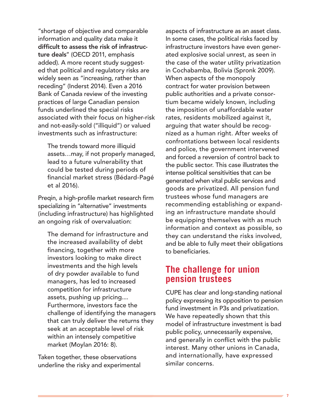"shortage of objective and comparable information and quality data make it difficult to assess the risk of infrastructure deals" (OECD 2011, emphasis added). A more recent study suggested that political and regulatory risks are widely seen as "increasing, rather than receding" (Inderst 2014). Even a 2016 Bank of Canada review of the investing practices of large Canadian pension funds underlined the special risks associated with their focus on higher-risk and not-easily-sold ("illiquid") or valued investments such as infrastructure:

The trends toward more illiquid assets…may, if not properly managed, lead to a future vulnerability that could be tested during periods of financial market stress (Bédard-Pagé et al 2016).

Preqin, a high-profile market research firm specializing in "alternative" investments (including infrastructure) has highlighted an ongoing risk of overvaluation:

The demand for infrastructure and the increased availability of debt financing, together with more investors looking to make direct investments and the high levels of dry powder available to fund managers, has led to increased competition for infrastructure assets, pushing up pricing.... Furthermore, investors face the challenge of identifying the managers that can truly deliver the returns they seek at an acceptable level of risk within an intensely competitive market (Moylan 2016: 8).

Taken together, these observations underline the risky and experimental

aspects of infrastructure as an asset class. In some cases, the political risks faced by infrastructure investors have even generated explosive social unrest, as seen in the case of the water utility privatization in Cochabamba, Bolivia (Spronk 2009). When aspects of the monopoly contract for water provision between public authorities and a private consortium became widely known, including the imposition of unaffordable water rates, residents mobilized against it, arguing that water should be recognized as a human right. After weeks of confrontations between local residents and police, the government intervened and forced a reversion of control back to the public sector. This case illustrates the intense political sensitivities that can be generated when vital public services and goods are privatized. All pension fund trustees whose fund managers are recommending establishing or expanding an infrastructure mandate should be equipping themselves with as much information and context as possible, so they can understand the risks involved, and be able to fully meet their obligations to beneficiaries.

### **The challenge for union pension trustees**

CUPE has clear and long-standing national policy expressing its opposition to pension fund investment in P3s and privatization. We have repeatedly shown that this model of infrastructure investment is bad public policy, unnecessarily expensive, and generally in conflict with the public interest. Many other unions in Canada, and internationally, have expressed similar concerns.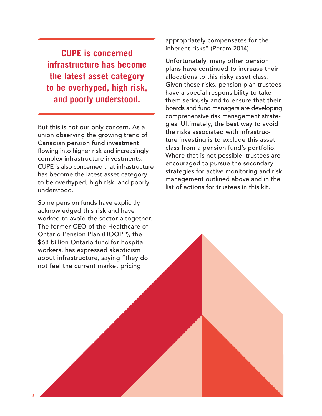**CUPE is concerned infrastructure has become the latest asset category to be overhyped, high risk, and poorly understood.** 

But this is not our only concern. As a union observing the growing trend of Canadian pension fund investment flowing into higher risk and increasingly complex infrastructure investments, CUPE is also concerned that infrastructure has become the latest asset category to be overhyped, high risk, and poorly understood.

Some pension funds have explicitly acknowledged this risk and have worked to avoid the sector altogether. The former CEO of the Healthcare of Ontario Pension Plan (HOOPP), the \$68 billion Ontario fund for hospital workers, has expressed skepticism about infrastructure, saying "they do not feel the current market pricing

**8**

appropriately compensates for the inherent risks" (Peram 2014).

Unfortunately, many other pension plans have continued to increase their allocations to this risky asset class. Given these risks, pension plan trustees have a special responsibility to take them seriously and to ensure that their boards and fund managers are developing comprehensive risk management strategies. Ultimately, the best way to avoid the risks associated with infrastructure investing is to exclude this asset class from a pension fund's portfolio. Where that is not possible, trustees are encouraged to pursue the secondary strategies for active monitoring and risk management outlined above and in the list of actions for trustees in this kit.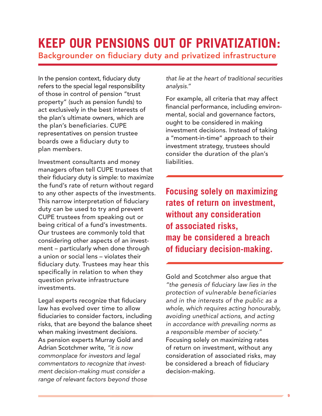# **KEEP OUR PENSIONS OUT OF PRIVATIZATION:**

Backgrounder on fiduciary duty and privatized infrastructure

In the pension context, fiduciary duty refers to the special legal responsibility of those in control of pension "trust property" (such as pension funds) to act exclusively in the best interests of the plan's ultimate owners, which are the plan's beneficiaries. CUPE representatives on pension trustee boards owe a fiduciary duty to plan members.

Investment consultants and money managers often tell CUPE trustees that their fiduciary duty is simple: to maximize the fund's rate of return without regard to any other aspects of the investments. This narrow interpretation of fiduciary duty can be used to try and prevent CUPE trustees from speaking out or being critical of a fund's investments. Our trustees are commonly told that considering other aspects of an investment – particularly when done through a union or social lens – violates their fiduciary duty. Trustees may hear this specifically in relation to when they question private infrastructure investments.

Legal experts recognize that fiduciary law has evolved over time to allow fiduciaries to consider factors, including risks, that are beyond the balance sheet when making investment decisions. As pension experts Murray Gold and Adrian Scotchmer write, *"it is now commonplace for investors and legal commentators to recognize that investment decision-making must consider a range of relevant factors beyond those* 

*that lie at the heart of traditional securities analysis."*

For example, all criteria that may affect financial performance, including environmental, social and governance factors, ought to be considered in making investment decisions. Instead of taking a "moment-in-time" approach to their investment strategy, trustees should consider the duration of the plan's liabilities.

**Focusing solely on maximizing rates of return on investment, without any consideration of associated risks, may be considered a breach of fiduciary decision-making.**

Gold and Scotchmer also argue that *"the genesis of fiduciary law lies in the protection of vulnerable beneficiaries and in the interests of the public as a whole, which requires acting honourably, avoiding unethical actions, and acting in accordance with prevailing norms as a responsible member of society."* Focusing solely on maximizing rates of return on investment, without any consideration of associated risks, may be considered a breach of fiduciary decision-making.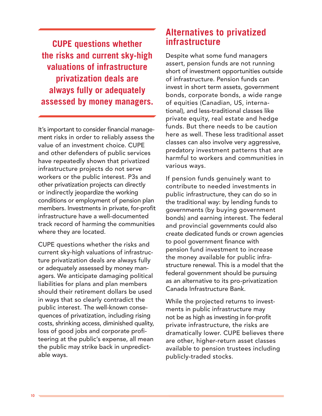**CUPE questions whether the risks and current sky-high valuations of infrastructure privatization deals are always fully or adequately assessed by money managers.**

It's important to consider financial management risks in order to reliably assess the value of an investment choice. CUPE and other defenders of public services have repeatedly shown that privatized infrastructure projects do not serve workers or the public interest. P3s and other privatization projects can directly or indirectly jeopardize the working conditions or employment of pension plan members. Investments in private, for-profit infrastructure have a well-documented track record of harming the communities where they are located.

CUPE questions whether the risks and current sky-high valuations of infrastructure privatization deals are always fully or adequately assessed by money managers. We anticipate damaging political liabilities for plans and plan members should their retirement dollars be used in ways that so clearly contradict the public interest. The well-known consequences of privatization, including rising costs, shrinking access, diminished quality, loss of good jobs and corporate profiteering at the public's expense, all mean the public may strike back in unpredictable ways.

### **Alternatives to privatized infrastructure**

Despite what some fund managers assert, pension funds are not running short of investment opportunities outside of infrastructure. Pension funds can invest in short term assets, government bonds, corporate bonds, a wide range of equities (Canadian, US, international), and less-traditional classes like private equity, real estate and hedge funds. But there needs to be caution here as well. These less traditional asset classes can also involve very aggressive, predatory investment patterns that are harmful to workers and communities in various ways.

If pension funds genuinely want to contribute to needed investments in public infrastructure, they can do so in the traditional way: by lending funds to governments (by buying government bonds) and earning interest. The federal and provincial governments could also create dedicated funds or crown agencies to pool government finance with pension fund investment to increase the money available for public infrastructure renewal. This is a model that the federal government should be pursuing as an alternative to its pro-privatization Canada Infrastructure Bank.

While the projected returns to investments in public infrastructure may not be as high as investing in for-profit private infrastructure, the risks are dramatically lower. CUPE believes there are other, higher-return asset classes available to pension trustees including publicly-traded stocks.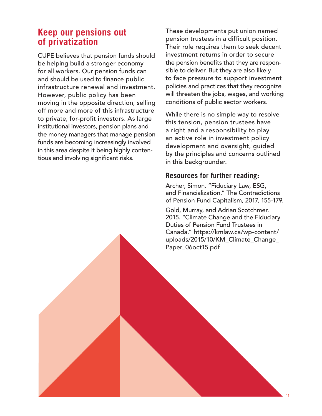### **Keep our pensions out of privatization**

CUPE believes that pension funds should be helping build a stronger economy for all workers. Our pension funds can and should be used to finance public infrastructure renewal and investment. However, public policy has been moving in the opposite direction, selling off more and more of this infrastructure to private, for-profit investors. As large institutional investors, pension plans and the money managers that manage pension funds are becoming increasingly involved in this area despite it being highly contentious and involving significant risks.

These developments put union named pension trustees in a difficult position. Their role requires them to seek decent investment returns in order to secure the pension benefits that they are responsible to deliver. But they are also likely to face pressure to support investment policies and practices that they recognize will threaten the jobs, wages, and working conditions of public sector workers.

While there is no simple way to resolve this tension, pension trustees have a right and a responsibility to play an active role in investment policy development and oversight, guided by the principles and concerns outlined in this backgrounder.

#### **Resources for further reading:**

Archer, Simon. "Fiduciary Law, ESG, and Financialization." The Contradictions of Pension Fund Capitalism, 2017, 155-179.

Gold, Murray, and Adrian Scotchmer. 2015. "Climate Change and the Fiduciary Duties of Pension Fund Trustees in Canada." https://kmlaw.ca/wp-content/ uploads/2015/10/KM\_Climate\_Change\_ Paper\_06oct15.pdf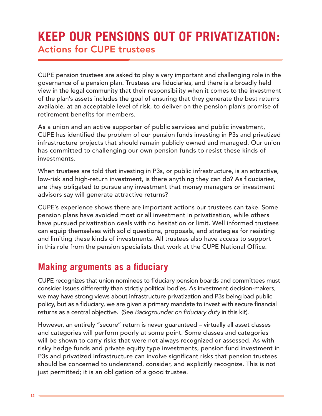# **KEEP OUR PENSIONS OUT OF PRIVATIZATION:** Actions for CUPE trustees

CUPE pension trustees are asked to play a very important and challenging role in the governance of a pension plan. Trustees are fiduciaries, and there is a broadly held view in the legal community that their responsibility when it comes to the investment of the plan's assets includes the goal of ensuring that they generate the best returns available, at an acceptable level of risk, to deliver on the pension plan's promise of retirement benefits for members.

As a union and an active supporter of public services and public investment, CUPE has identified the problem of our pension funds investing in P3s and privatized infrastructure projects that should remain publicly owned and managed. Our union has committed to challenging our own pension funds to resist these kinds of investments.

When trustees are told that investing in P3s, or public infrastructure, is an attractive, low-risk and high-return investment, is there anything they can do? As fiduciaries, are they obligated to pursue any investment that money managers or investment advisors say will generate attractive returns?

CUPE's experience shows there are important actions our trustees can take. Some pension plans have avoided most or all investment in privatization, while others have pursued privatization deals with no hesitation or limit. Well informed trustees can equip themselves with solid questions, proposals, and strategies for resisting and limiting these kinds of investments. All trustees also have access to support in this role from the pension specialists that work at the CUPE National Office.

### **Making arguments as a fiduciary**

CUPE recognizes that union nominees to fiduciary pension boards and committees must consider issues differently than strictly political bodies. As investment decision-makers, we may have strong views about infrastructure privatization and P3s being bad public policy, but as a fiduciary, we are given a primary mandate to invest with secure financial returns as a central objective. (See *Backgrounder on fiduciary duty* in this kit).

However, an entirely "secure" return is never guaranteed – virtually all asset classes and categories will perform poorly at some point. Some classes and categories will be shown to carry risks that were not always recognized or assessed. As with risky hedge funds and private equity type investments, pension fund investment in P3s and privatized infrastructure can involve significant risks that pension trustees should be concerned to understand, consider, and explicitly recognize. This is not just permitted; it is an obligation of a good trustee.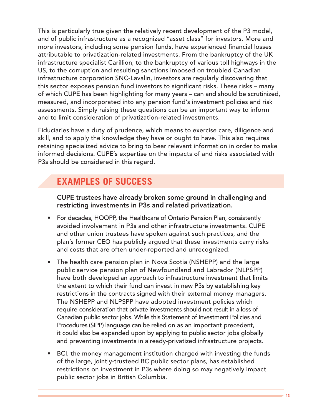This is particularly true given the relatively recent development of the P3 model, and of public infrastructure as a recognized "asset class" for investors. More and more investors, including some pension funds, have experienced financial losses attributable to privatization-related investments. From the bankruptcy of the UK infrastructure specialist Carillion, to the bankruptcy of various toll highways in the US, to the corruption and resulting sanctions imposed on troubled Canadian infrastructure corporation SNC-Lavalin, investors are regularly discovering that this sector exposes pension fund investors to significant risks. These risks – many of which CUPE has been highlighting for many years – can and should be scrutinized, measured, and incorporated into any pension fund's investment policies and risk assessments. Simply raising these questions can be an important way to inform and to limit consideration of privatization-related investments.

Fiduciaries have a duty of prudence, which means to exercise care, diligence and skill, and to apply the knowledge they have or ought to have. This also requires retaining specialized advice to bring to bear relevant information in order to make informed decisions. CUPE's expertise on the impacts of and risks associated with P3s should be considered in this regard.

## **EXAMPLES OF SUCCESS**

CUPE trustees have already broken some ground in challenging and restricting investments in P3s and related privatization.

- For decades, HOOPP, the Healthcare of Ontario Pension Plan, consistently avoided involvement in P3s and other infrastructure investments. CUPE and other union trustees have spoken against such practices, and the plan's former CEO has publicly argued that these investments carry risks and costs that are often under-reported and unrecognized.
- The health care pension plan in Nova Scotia (NSHEPP) and the large public service pension plan of Newfoundland and Labrador (NLPSPP) have both developed an approach to infrastructure investment that limits the extent to which their fund can invest in new P3s by establishing key restrictions in the contracts signed with their external money managers. The NSHEPP and NLPSPP have adopted investment policies which require consideration that private investments should not result in a loss of Canadian public sector jobs. While this Statement of Investment Policies and Procedures (SIPP) language can be relied on as an important precedent, it could also be expanded upon by applying to public sector jobs globally and preventing investments in already-privatized infrastructure projects.
- BCI, the money management institution charged with investing the funds of the large, jointly-trusteed BC public sector plans, has established restrictions on investment in P3s where doing so may negatively impact public sector jobs in British Columbia.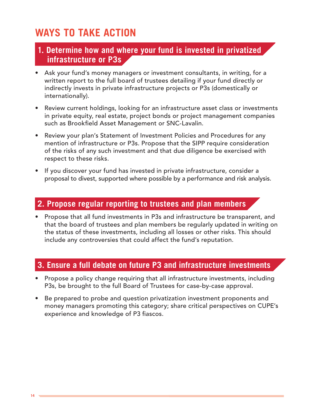# **WAYS TO TAKE ACTION**

#### **1. Determine how and where your fund is invested in privatized infrastructure or P3s**

- Ask your fund's money managers or investment consultants, in writing, for a written report to the full board of trustees detailing if your fund directly or indirectly invests in private infrastructure projects or P3s (domestically or internationally).
- Review current holdings, looking for an infrastructure asset class or investments in private equity, real estate, project bonds or project management companies such as Brookfield Asset Management or SNC-Lavalin.
- Review your plan's Statement of Investment Policies and Procedures for any mention of infrastructure or P3s. Propose that the SIPP require consideration of the risks of any such investment and that due diligence be exercised with respect to these risks.
- If you discover your fund has invested in private infrastructure, consider a proposal to divest, supported where possible by a performance and risk analysis.

### **2. Propose regular reporting to trustees and plan members**

• Propose that all fund investments in P3s and infrastructure be transparent, and that the board of trustees and plan members be regularly updated in writing on the status of these investments, including all losses or other risks. This should include any controversies that could affect the fund's reputation.

#### **3. Ensure a full debate on future P3 and infrastructure investments**

- Propose a policy change requiring that all infrastructure investments, including P3s, be brought to the full Board of Trustees for case-by-case approval.
- Be prepared to probe and question privatization investment proponents and money managers promoting this category; share critical perspectives on CUPE's experience and knowledge of P3 fiascos.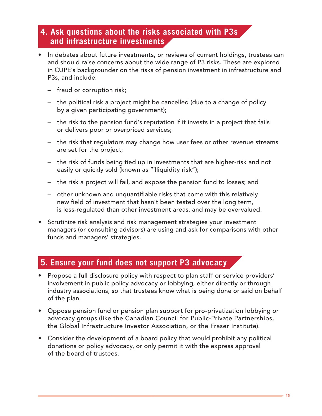### **4. Ask questions about the risks associated with P3s and infrastructure investments**

- In debates about future investments, or reviews of current holdings, trustees can and should raise concerns about the wide range of P3 risks. These are explored in CUPE's backgrounder on the risks of pension investment in infrastructure and P3s, and include:
	- fraud or corruption risk;
	- the political risk a project might be cancelled (due to a change of policy by a given participating government);
	- the risk to the pension fund's reputation if it invests in a project that fails or delivers poor or overpriced services;
	- the risk that regulators may change how user fees or other revenue streams are set for the project;
	- the risk of funds being tied up in investments that are higher-risk and not easily or quickly sold (known as "illiquidity risk");
	- the risk a project will fail, and expose the pension fund to losses; and
	- other unknown and unquantifiable risks that come with this relatively new field of investment that hasn't been tested over the long term, is less-regulated than other investment areas, and may be overvalued.
- Scrutinize risk analysis and risk management strategies your investment managers (or consulting advisors) are using and ask for comparisons with other funds and managers' strategies.

#### **5. Ensure your fund does not support P3 advocacy**

- Propose a full disclosure policy with respect to plan staff or service providers' involvement in public policy advocacy or lobbying, either directly or through industry associations, so that trustees know what is being done or said on behalf of the plan.
- Oppose pension fund or pension plan support for pro-privatization lobbying or advocacy groups (like the Canadian Council for Public-Private Partnerships, the Global Infrastructure Investor Association, or the Fraser Institute).
- Consider the development of a board policy that would prohibit any political donations or policy advocacy, or only permit it with the express approval of the board of trustees.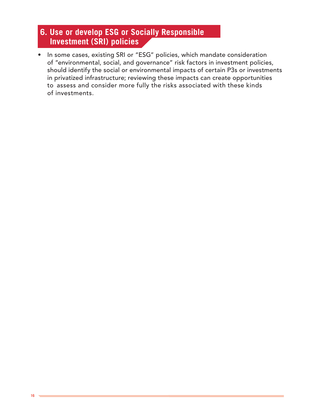### **6. Use or develop ESG or Socially Responsible Investment (SRI) policies**

• In some cases, existing SRI or "ESG" policies, which mandate consideration of "environmental, social, and governance" risk factors in investment policies, should identify the social or environmental impacts of certain P3s or investments in privatized infrastructure; reviewing these impacts can create opportunities to assess and consider more fully the risks associated with these kinds of investments.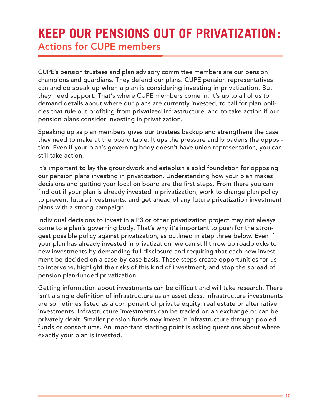# **KEEP OUR PENSIONS OUT OF PRIVATIZATION:** Actions for CUPE members

CUPE's pension trustees and plan advisory committee members are our pension champions and guardians. They defend our plans. CUPE pension representatives can and do speak up when a plan is considering investing in privatization. But they need support. That's where CUPE members come in. It's up to all of us to demand details about where our plans are currently invested, to call for plan policies that rule out profiting from privatized infrastructure, and to take action if our pension plans consider investing in privatization.

Speaking up as plan members gives our trustees backup and strengthens the case they need to make at the board table. It ups the pressure and broadens the opposition. Even if your plan's governing body doesn't have union representation, you can still take action.

It's important to lay the groundwork and establish a solid foundation for opposing our pension plans investing in privatization. Understanding how your plan makes decisions and getting your local on board are the first steps. From there you can find out if your plan is already invested in privatization, work to change plan policy to prevent future investments, and get ahead of any future privatization investment plans with a strong campaign.

Individual decisions to invest in a P3 or other privatization project may not always come to a plan's governing body. That's why it's important to push for the strongest possible policy against privatization, as outlined in step three below. Even if your plan has already invested in privatization, we can still throw up roadblocks to new investments by demanding full disclosure and requiring that each new investment be decided on a case-by-case basis. These steps create opportunities for us to intervene, highlight the risks of this kind of investment, and stop the spread of pension plan-funded privatization.

Getting information about investments can be difficult and will take research. There isn't a single definition of infrastructure as an asset class. Infrastructure investments are sometimes listed as a component of private equity, real estate or alternative investments. Infrastructure investments can be traded on an exchange or can be privately dealt. Smaller pension funds may invest in infrastructure through pooled funds or consortiums. An important starting point is asking questions about where exactly your plan is invested.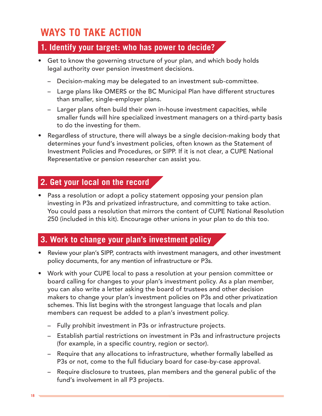# **WAYS TO TAKE ACTION**

### **1. Identify your target: who has power to decide?**

- Get to know the governing structure of your plan, and which body holds legal authority over pension investment decisions.
	- Decision-making may be delegated to an investment sub-committee.
	- Large plans like OMERS or the BC Municipal Plan have different structures than smaller, single-employer plans.
	- Larger plans often build their own in-house investment capacities, while smaller funds will hire specialized investment managers on a third-party basis to do the investing for them.
- Regardless of structure, there will always be a single decision-making body that determines your fund's investment policies, often known as the Statement of Investment Policies and Procedures, or SIPP. If it is not clear, a CUPE National Representative or pension researcher can assist you.

### **2. Get your local on the record**

• Pass a resolution or adopt a policy statement opposing your pension plan investing in P3s and privatized infrastructure, and committing to take action. You could pass a resolution that mirrors the content of CUPE National Resolution 250 (included in this kit). Encourage other unions in your plan to do this too.

### **3. Work to change your plan's investment policy**

- Review your plan's SIPP, contracts with investment managers, and other investment policy documents, for any mention of infrastructure or P3s.
- Work with your CUPE local to pass a resolution at your pension committee or board calling for changes to your plan's investment policy. As a plan member, you can also write a letter asking the board of trustees and other decision makers to change your plan's investment policies on P3s and other privatization schemes. This list begins with the strongest language that locals and plan members can request be added to a plan's investment policy.
	- Fully prohibit investment in P3s or infrastructure projects.
	- Establish partial restrictions on investment in P3s and infrastructure projects (for example, in a specific country, region or sector).
	- Require that any allocations to infrastructure, whether formally labelled as P3s or not, come to the full fiduciary board for case-by-case approval.
	- Require disclosure to trustees, plan members and the general public of the fund's involvement in all P3 projects.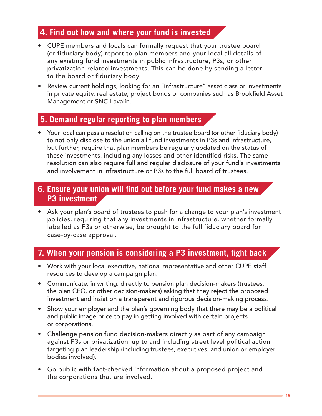### **4. Find out how and where your fund is invested**

- CUPE members and locals can formally request that your trustee board (or fiduciary body) report to plan members and your local all details of any existing fund investments in public infrastructure, P3s, or other privatization-related investments. This can be done by sending a letter to the board or fiduciary body.
- Review current holdings, looking for an "infrastructure" asset class or investments in private equity, real estate, project bonds or companies such as Brookfield Asset Management or SNC-Lavalin.

#### **5. Demand regular reporting to plan members**

• Your local can pass a resolution calling on the trustee board (or other fiduciary body) to not only disclose to the union all fund investments in P3s and infrastructure, but further, require that plan members be regularly updated on the status of these investments, including any losses and other identified risks. The same resolution can also require full and regular disclosure of your fund's investments and involvement in infrastructure or P3s to the full board of trustees.

#### **6. Ensure your union will find out before your fund makes a new P3 investment**

• Ask your plan's board of trustees to push for a change to your plan's investment policies, requiring that any investments in infrastructure, whether formally labelled as P3s or otherwise, be brought to the full fiduciary board for case-by-case approval.

### **7. When your pension is considering a P3 investment, fight back**

- Work with your local executive, national representative and other CUPE staff resources to develop a campaign plan.
- Communicate, in writing, directly to pension plan decision-makers (trustees, the plan CEO, or other decision-makers) asking that they reject the proposed investment and insist on a transparent and rigorous decision-making process.
- Show your employer and the plan's governing body that there may be a political and public image price to pay in getting involved with certain projects or corporations.
- Challenge pension fund decision-makers directly as part of any campaign against P3s or privatization, up to and including street level political action targeting plan leadership (including trustees, executives, and union or employer bodies involved).
- Go public with fact-checked information about a proposed project and the corporations that are involved.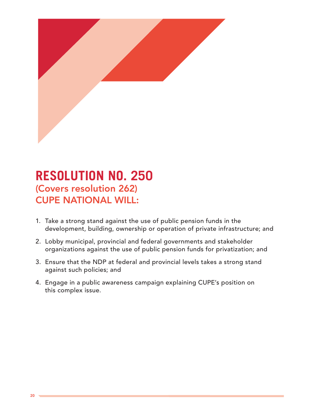

# **RESOLUTION NO. 250** (Covers resolution 262) CUPE NATIONAL WILL:

- 1. Take a strong stand against the use of public pension funds in the development, building, ownership or operation of private infrastructure; and
- 2. Lobby municipal, provincial and federal governments and stakeholder organizations against the use of public pension funds for privatization; and
- 3. Ensure that the NDP at federal and provincial levels takes a strong stand against such policies; and
- 4. Engage in a public awareness campaign explaining CUPE's position on this complex issue.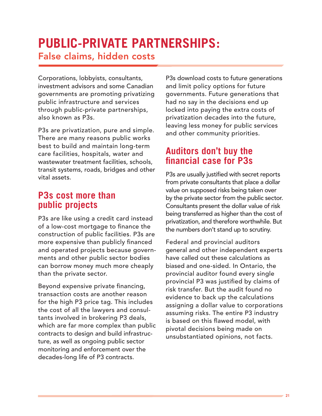# **PUBLIC-PRIVATE PARTNERSHIPS:**  False claims, hidden costs

Corporations, lobbyists, consultants, investment advisors and some Canadian governments are promoting privatizing public infrastructure and services through public-private partnerships, also known as P3s.

P3s are privatization, pure and simple. There are many reasons public works best to build and maintain long-term care facilities, hospitals, water and wastewater treatment facilities, schools, transit systems, roads, bridges and other vital assets.

### **P3s cost more than public projects**

P3s are like using a credit card instead of a low-cost mortgage to finance the construction of public facilities. P3s are more expensive than publicly financed and operated projects because governments and other public sector bodies can borrow money much more cheaply than the private sector.

Beyond expensive private financing, transaction costs are another reason for the high P3 price tag. This includes the cost of all the lawyers and consultants involved in brokering P3 deals, which are far more complex than public contracts to design and build infrastructure, as well as ongoing public sector monitoring and enforcement over the decades-long life of P3 contracts.

P3s download costs to future generations and limit policy options for future governments. Future generations that had no say in the decisions end up locked into paying the extra costs of privatization decades into the future, leaving less money for public services and other community priorities.

### **Auditors don't buy the financial case for P3s**

P3s are usually justified with secret reports from private consultants that place a dollar value on supposed risks being taken over by the private sector from the public sector. Consultants present the dollar value of risk being transferred as higher than the cost of privatization, and therefore worthwhile. But the numbers don't stand up to scrutiny.

Federal and provincial auditors general and other independent experts have called out these calculations as biased and one-sided. In Ontario, the provincial auditor found every single provincial P3 was justified by claims of risk transfer. But the audit found no evidence to back up the calculations assigning a dollar value to corporations assuming risks. The entire P3 industry is based on this flawed model, with pivotal decisions being made on unsubstantiated opinions, not facts.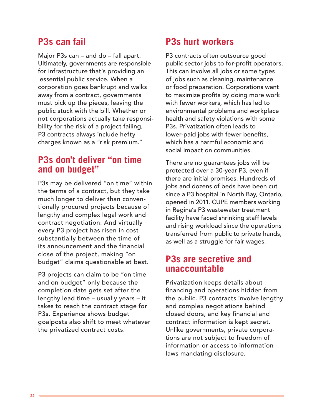### **P3s can fail**

Major P3s can – and do – fall apart. Ultimately, governments are responsible for infrastructure that's providing an essential public service. When a corporation goes bankrupt and walks away from a contract, governments must pick up the pieces, leaving the public stuck with the bill. Whether or not corporations actually take responsibility for the risk of a project failing, P3 contracts always include hefty charges known as a "risk premium."

### **P3s don't deliver "on time and on budget"**

P3s may be delivered "on time" within the terms of a contract, but they take much longer to deliver than conventionally procured projects because of lengthy and complex legal work and contract negotiation. And virtually every P3 project has risen in cost substantially between the time of its announcement and the financial close of the project, making "on budget" claims questionable at best.

P3 projects can claim to be "on time and on budget" only because the completion date gets set after the lengthy lead time – usually years – it takes to reach the contract stage for P3s. Experience shows budget goalposts also shift to meet whatever the privatized contract costs.

### **P3s hurt workers**

P3 contracts often outsource good public sector jobs to for-profit operators. This can involve all jobs or some types of jobs such as cleaning, maintenance or food preparation. Corporations want to maximize profits by doing more work with fewer workers, which has led to environmental problems and workplace health and safety violations with some P3s. Privatization often leads to lower-paid jobs with fewer benefits, which has a harmful economic and social impact on communities.

There are no guarantees jobs will be protected over a 30-year P3, even if there are initial promises. Hundreds of jobs and dozens of beds have been cut since a P3 hospital in North Bay, Ontario, opened in 2011. CUPE members working in Regina's P3 wastewater treatment facility have faced shrinking staff levels and rising workload since the operations transferred from public to private hands, as well as a struggle for fair wages.

### **P3s are secretive and unaccountable**

Privatization keeps details about financing and operations hidden from the public. P3 contracts involve lengthy and complex negotiations behind closed doors, and key financial and contract information is kept secret. Unlike governments, private corporations are not subject to freedom of information or access to information laws mandating disclosure.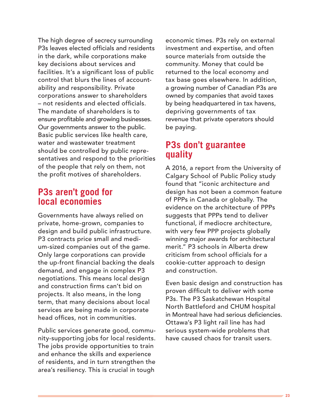The high degree of secrecy surrounding P3s leaves elected officials and residents in the dark, while corporations make key decisions about services and facilities. It's a significant loss of public control that blurs the lines of accountability and responsibility. Private corporations answer to shareholders – not residents and elected officials. The mandate of shareholders is to ensure profitable and growing businesses. Our governments answer to the public. Basic public services like health care, water and wastewater treatment should be controlled by public representatives and respond to the priorities of the people that rely on them, not the profit motives of shareholders.

### **P3s aren't good for local economies**

Governments have always relied on private, home-grown, companies to design and build public infrastructure. P3 contracts price small and medium-sized companies out of the game. Only large corporations can provide the up-front financial backing the deals demand, and engage in complex P3 negotiations. This means local design and construction firms can't bid on projects. It also means, in the long term, that many decisions about local services are being made in corporate head offices, not in communities.

Public services generate good, community-supporting jobs for local residents. The jobs provide opportunities to train and enhance the skills and experience of residents, and in turn strengthen the area's resiliency. This is crucial in tough

economic times. P3s rely on external investment and expertise, and often source materials from outside the community. Money that could be returned to the local economy and tax base goes elsewhere. In addition, a growing number of Canadian P3s are owned by companies that avoid taxes by being headquartered in tax havens, depriving governments of tax revenue that private operators should be paying.

### **P3s don't guarantee quality**

A 2016, a report from the University of Calgary School of Public Policy study found that "iconic architecture and design has not been a common feature of PPPs in Canada or globally. The evidence on the architecture of PPPs suggests that PPPs tend to deliver functional, if mediocre architecture, with very few PPP projects globally winning major awards for architectural merit." P3 schools in Alberta drew criticism from school officials for a cookie-cutter approach to design and construction.

Even basic design and construction has proven difficult to deliver with some P3s. The P3 Saskatchewan Hospital North Battleford and CHUM hospital in Montreal have had serious deficiencies. Ottawa's P3 light rail line has had serious system-wide problems that have caused chaos for transit users.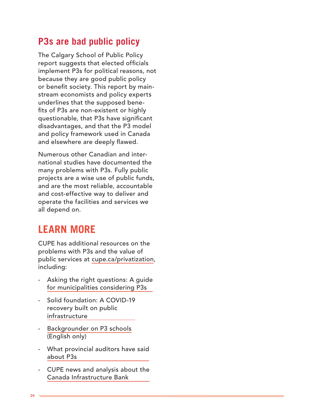### **P3s are bad public policy**

The Calgary School of Public Policy report suggests that elected officials implement P3s for political reasons, not because they are good public policy or benefit society. This report by mainstream economists and policy experts underlines that the supposed benefits of P3s are non-existent or highly questionable, that P3s have significant disadvantages, and that the P3 model and policy framework used in Canada and elsewhere are deeply flawed.

Numerous other Canadian and international studies have documented the many problems with P3s. Fully public projects are a wise use of public funds, and are the most reliable, accountable and cost-effective way to deliver and operate the facilities and services we all depend on.

# **LEARN MORE**

CUPE has additional resources on the problems with P3s and the value of public services at [cupe.ca/privatization](https://cupe.ca/privatization), including:

- Asking the right questions: A guide for municipalities considering P3s
- [Solid foundation: A COVID-19](https://cupe.ca/privatization-wont-kick-start-canadian-economy) recovery built on public infrastructure
- [Backgrounder on P3 schools](https://cupe.ca/sites/cupe/files/backgrounder_p3_schools_en.pdf) (English only)
- [What provincial auditors have said](https://cupe.ca/fact-sheet-what-provincial-auditors-have-said-about-p3s)  about P3s
- [CUPE news and analysis about the](https://cupe.ca/not-for-sale) Canada Infrastructure Bank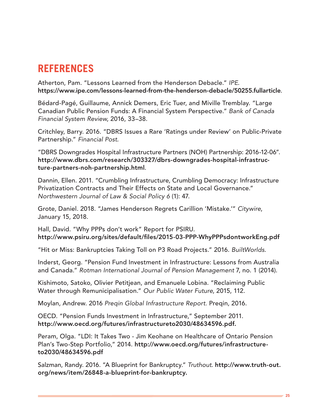# **REFERENCES**

Atherton, Pam. "Lessons Learned from the Henderson Debacle." *IPE*. https://www.ipe.com/lessons-learned-from-the-henderson-debacle/50255.fullarticle.

Bédard-Pagé, Guillaume, Annick Demers, Eric Tuer, and Miville Tremblay. "Large Canadian Public Pension Funds: A Financial System Perspective." *Bank of Canada Financial System Review*, 2016, 33–38.

Critchley, Barry. 2016. "DBRS Issues a Rare 'Ratings under Review' on Public-Private Partnership." *Financial Post*.

"DBRS Downgrades Hospital Infrastructure Partners (NOH) Partnership: 2016-12-06". http://www.dbrs.com/research/303327/dbrs-downgrades-hospital-infrastructure-partners-noh-partnership.html.

Dannin, Ellen. 2011. "Crumbling Infrastructure, Crumbling Democracy: Infrastructure Privatization Contracts and Their Effects on State and Local Governance." *Northwestern Journal of Law & Social Policy 6* (1): 47.

Grote, Daniel. 2018. "James Henderson Regrets Carillion 'Mistake.'" *Citywire*, January 15, 2018.

Hall, David. "Why PPPs don't work" Report for PSIRU. http://www.psiru.org/sites/default/files/2015-03-PPP-WhyPPPsdontworkEng.pdf

"Hit or Miss: Bankruptcies Taking Toll on P3 Road Projects." 2016. *BuiltWorlds*.

Inderst, Georg. "Pension Fund Investment in Infrastructure: Lessons from Australia and Canada." *Rotman International Journal of Pension Management* 7, no. 1 (2014).

Kishimoto, Satoko, Olivier Petitjean, and Emanuele Lobina. "Reclaiming Public Water through Remunicipalisation." *Our Public Water Future*, 2015, 112.

Moylan, Andrew. 2016 *Preqin Global Infrastructure Report.* Preqin, 2016.

OECD. "Pension Funds Investment in Infrastructure," September 2011. http://www.oecd.org/futures/infrastructureto2030/48634596.pdf.

Peram, Olga. "LDI: It Takes Two - Jim Keohane on Healthcare of Ontario Pension Plan's Two-Step Portfolio," 2014. http://www.oecd.org/futures/infrastructureto2030/48634596.pdf

Salzman, Randy. 2016. "A Blueprint for Bankruptcy." *Truthout*. http://www.truth-out. org/news/item/26848-a-blueprint-for-bankruptcy.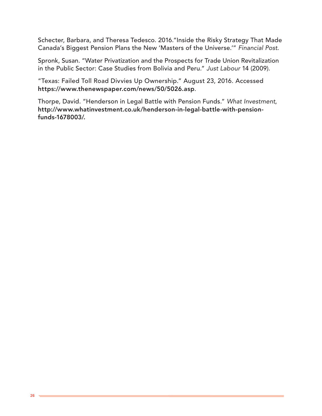Schecter, Barbara, and Theresa Tedesco. 2016."Inside the Risky Strategy That Made Canada's Biggest Pension Plans the New 'Masters of the Universe.'" *Financial Post*.

Spronk, Susan. "Water Privatization and the Prospects for Trade Union Revitalization in the Public Sector: Case Studies from Bolivia and Peru." *Just Labour* 14 (2009).

"Texas: Failed Toll Road Divvies Up Ownership." August 23, 2016. Accessed https://www.thenewspaper.com/news/50/5026.asp.

Thorpe, David. "Henderson in Legal Battle with Pension Funds." *What Investment*, http://www.whatinvestment.co.uk/henderson-in-legal-battle-with-pensionfunds-1678003/.